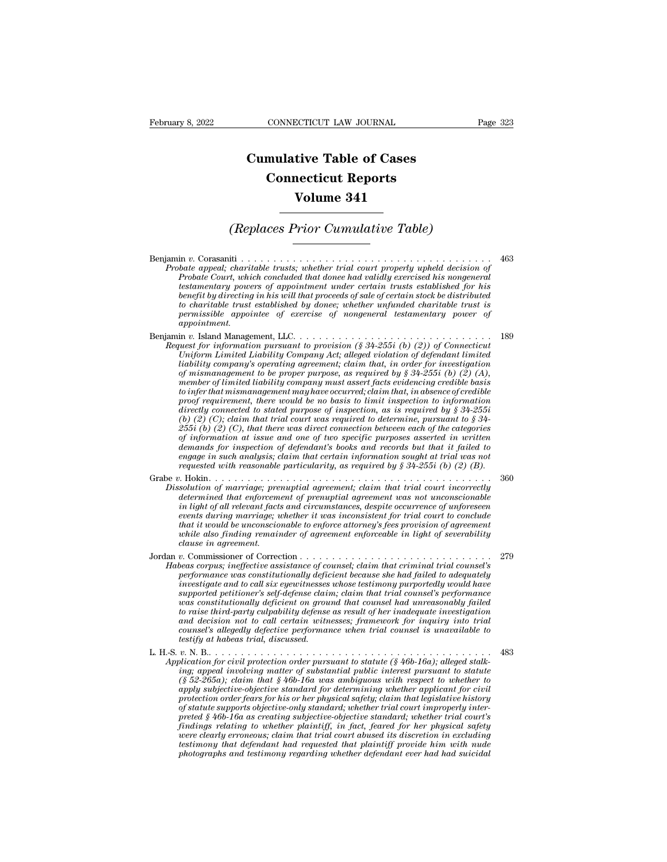## **CONNECTICUT LAW JOURNAL**<br> **Cumulative Table of Cases<br>
Connecticut Reports CONNECTICUT LAW JOURNAL**<br> **CONNECTICUT LAW JOURNAL**<br> **CONNECTICUT Reports<br>
Volume 341 ECTICUT LAW JOURNAL**<br> **Volume 341**<br> **Volume 341**<br> **Volume 341 Cumulative Table of Cases<br>
Connecticut Reports<br>
Volume 341<br>
(Replaces Prior Cumulative Table)**

Benjamin *<sup>v</sup>*. Corasaniti . . . . . . . . . . . . . . . . . . . . . . . . . . . . . . . . . . . . . . . <sup>463</sup> *Probate appears and appears appears to the probate appears in a temperal; charitable trusts; whether trial court properly upheld decision of*<br>*Probate court, which concluded that donee had validly exercised his nongeneral Probate Court, and a probate Court, which concluded that done had validly exercised his nongeneral*<br>probate court, which concluded that donee had validly exercised his nongeneral<br>probate Court, which concluded that donee *(Replaces Prior Cumulative Table)*<br> **testamentary constant in the certain of the certain trusts:** whether trial court properly upheld decision of<br> *Probate Court, which concluded that donee had validly exercised his nong* **benefit by direction in the process of application**<br>**control to the direction of**<br>*bate appeal*; charitable trusts; whether trial court properly upheld decision of<br>*Probate Court*, which concluded that donee had validly e *to charitable trust established by donee; whether unfunded charitable trust is permissible appointee of exercise of nongeneral testamentary power of appointment.* Probate Court, which concluded that donee had validly exercised his nongeneral<br>testamentary powers of appointment under certain trusts established for his<br>benefit by directing in his will that proceeds of sale of certain s *Probate Court, which concluded that donee had validly exercised his nongeneral testamentary powers of appointment under certain trusts established for his benefit by directing in his will that proceeds of sale of certain Uniform Limited Liability Company Act; alleged violation of defendant limited***<br>** *Uniform Limited to charitable trust established by donee; whether unfunded charitable trust is***<br>** *permissible appointee of exercise of non* 

*liability compary in the liability company*  $\alpha$  and  $\alpha$  and  $\alpha$  is that in that  $\alpha$  is permissible appointee of exercise of nongeneral testamentary power of appointment.<br>
in v. Island Management, LLC................. *of mismanagement to be proper purpose, as required by § 34-255i (b) (2) (A), member of limited liability company must assert facts evidencing credible basis to in that mismanagement, LLC.*<br> *to instand Management, LLC.*<br> *to instand marging may Act, alleged violation of defendant limited*<br> *thatorn Limited Liability Company Act, alleged violation of defendant limited*<br> *tabi proof requirement, there would be no basis to limit inspection to information diability comparison pursuant to provision (§ 34-255i (b) (2)) of Connecticut Uniform Limited Liability Company Act; alleged violation of defendant limited of mismanagement to be proper purpose, as required by § 34-255i ( Uniform Limited Liability Company Act; alleged violation of defendant limited*<br> *liability company's operating agreement; claim that, in order for investigation*<br> *of mismanagement to be proper purpose, as required by laability company's operating agreement; claim that, in order for investigation*<br>of mismanagement to be proper purpose, as required by § 34-255i (b) (2) (A),<br>member of limited liability company must assert facts evidenci *of mismanagement to be proper purpose, as required by § 34-2551 (b) (2) (A),*<br>member of limited liability company must assert facts evidencing credible basis<br>to infer that mismanagement may have occurred; claim that, in member of limited liability company must assert facts evidencing credible basis<br>to infer that mismanagement may have occurred; claim that, in absence of credible<br>proof requirement, there would be no basis to limit inspecti to infer that mismanagement may have occurred; claim that, in absence of credible<br>proof requirement, there would be no basis to limit inspection to information<br>directly connected to stated purpose of inspection, as is req *requested with reasonable particularity, as is required by § 34-255i* (b) (2) (C), claim that trial court was required by *s* required by *§ 34-255i* (b) (2) (C), that there was direct connection between each of the cate (b) (2) (C); claim that trial court was required to determine, pursuant to § 34-<br>  $255i$  (b) (2) (C), that there was direct connection between each of the categories<br>
of information at issue and one of two specific purpos  $\overline{255i}$  (b) (2) (C), that there was direct connection between each of the categories<br>of information at issue and one of two specific purposes asserted in written<br>demands for inspection of defendant's books and records *determined that enforcement of prenuptial agreements and verticle in written*<br>demands for inspection of defendant's books and records but that it failed to<br>engage in such analysis; claim that certain information sought at

*demands for inspection of defendant's books and records but that it failed to*<br>engage in such analysis; claim that certain information sought at trial was not<br>requested with reasonable particularity, as required by § 34-2 *events during marriage; whether it was inconsistent for trial court to conclude that it would be unconscionable particularity, as required by*  $\S$  34-255*i* (*b*) (2) (*B*).<br> *that it is interior* of *marriage*; *prenuptial agreement*; *claim that trial court incorrectly*<br> *determined that enforcemen while also finding remainder of agreement chain that trial court incorrectly*<br>*while also finding remainded agreement; claim that trial court incorrectly*<br>*determined that enforcement of prenuptial agreement was not unco Grabe v. Hokin. consideration of marriage; premaptial agreement; claim that trial court incorrectly*<br>determined that enforcement of prenuptial agreement was not unconscionable<br>in light of all relevant facts and circumst determined that enforcement of prenuptial agreement was not unconscionable<br>in light of all relevant facts and circumstances, despite occurrence of unforeseen<br>events during marriage; whether it was inconsistent for trial co *in light of all relevant facts and circumstances, despite occurrence of unforeseen*<br>events during marriage; whether it was inconsistent for trial court to conclude<br>that it would be unconscionable to enforce attorney's fee

- *performance was constitutionally deficient deficient of any any performance seents during marriage, whether it was inconsistent for trial court to conclude that it would be unconscionable to enforce attorney's fees provis investigate and to call six eyeromomic testimony is fees provision of agreement*<br> *intit it would be unconscionable to enforce attorney's fees provision of agreement*<br> *while also finding remainder of agreement enforceabl supported petitioner's self-defense claim; claim that trial counsel's performance was constitutionally deficient on ground that counsel had unreasonably failed to raise third-party as resulted to relation the culpable as corpus; ineffective assistance of counsel; claim that criminal trial counsel's* performance was constitutionally deficient because she had failed to adequately *and decision not to call certain witnesses; framework for inquiry into trial corpus; ineffective assistance of counsel; claim that criminal trial counsel's* performance was constitutionally deficient because she had failed to adequately investigate and to call six eigewitnesses whose testimony pur performance was constitutionally deficinesses<br>investigate and to call six eyewitnesses<br>supported petitioner's self-defense claim<br>was constitutionally deficient on grou<br>to raise third-party culpability defense<br>and decision supported petitioner's self-defense claim; claim that trial counsel's performance<br>was constitutionally deficient on ground that counsel had unreasonably failed<br>to raise third-party culpability defense as result of her inad *Application for civil protection order pursuant to statute (§ 46b-16a); alleged stalk-*<br> *Application for civil protection order pursuant to statute (§ 46b-16a); alleged stalk-*<br> *Application for civil protection and stat is a in the independent of substantial public interesting matter of substantial decision not to call certain witnesses; framework for inquiry into trial counsel's allegedly defective performance when trial counsel is una*
- 
- *(§ 52-265a); claim that § 46b-16a was ambiguous with example to train with counsel's allegedly defective performance when trial counsel is unavailable to testify at habeas trial, discussed.*<br> *y*. N. B................... *a*<br> **apply subjective-objective** standard for determining whether the standard for determining in a habeas trial, discussed.<br> **a**<br> **application** for civil protection order pursuant to statute (§ 46b-16a); alleged stalking *protection order fears for his order pursuant to statute* expective distribution for civil protection order pursuant to statute  $(\frac{2}{9}46b-16a)$ ; alleged stalking; appeal involving matter of substantial public interest p *of statute supports objective-only standard; whether trial court improperly interpreted § 46b-16a as creating subjective-objective standard; whether trial court's findings relation for civil protection order pursuant to statute (§ 46b-16a); alleged stalking; appeal involving matter of substantial public interest pursuant to statute*  $\langle$  *6 52-265a); claim that § 46b-16a was ambiguou were clearly erroneous; claim that s* 46b-16a was ambiguous with respect to whether to  $(\S 52-265a)$ ; claim that  $\S 46b$ -16a was ambiguous with respect to whether to apply subjective-objective standard for determining wh (§ 52-265a); claim that § 46b-16a was ambiguous with respect to whether to apply subjective-objective standard for determining whether applicant for civil protection order fears for his or her physical safety; claim that l apply subjective-objective standard for determining whether applicant for civil<br>protection order fears for his or her physical safety; claim that legislative history<br>of statute supports objective-only standard; whether tri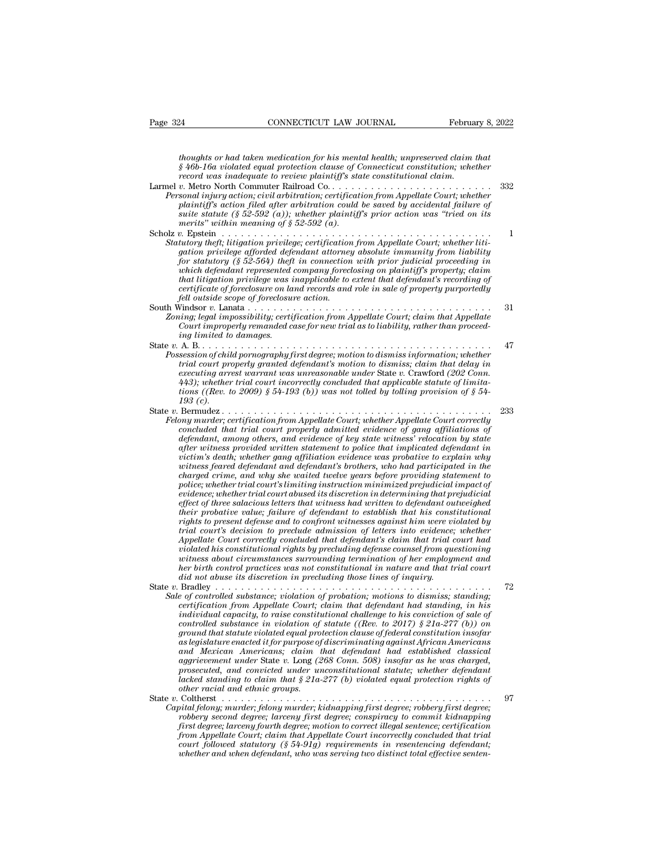*thoughts or had taken medication for his mental health; unpreserved claim that*<br>*f* 46b-16a violated equal protection clause of Connecticut constitution; whether<br>*record was inadequate to review plaintiff's state constitu* <sup>24</sup> <sup>**CONNECTICUT LAW JOURNAL** February 8, 2022<br> *houghts or had taken medication for his mental health; unpreserved claim that*<br> *§ 46b-16a violated equal protection clause of Connecticut constitution; whether*<br> *record </sup>* Page 324 *CONNECTICUT LAW JOURNAL* February 8, 2022<br> *thoughts or had taken medication for his mental health; unpreserved claim that*<br> *§ 46b-16a violated equal protection clause of Connecticut constitutional, whether*<br> Page 324 CONNECTICUT LAW JOURNAL February 8, 2022<br> *thoughts or had taken medication for his mental health; unpreserved claim that*<br>  $\frac{1}{2}46b-16a$  *violated equal protection clause of Connecticut constitution; whether*<br> *Personal injury action; civil arbitration; civil arbitration; civil arbitration; civil arbitration; civil arbitration; civil arbitration; civil arbitration; civil arbitration; certification; constitutional claim.*<br> *Perso plays thoughts or had taken medication for his mental health; unpreserved claim that*  $\frac{1}{2}46b-16a$  *violated equal protection clause of Connecticut constitution, whether record was inadequate to review plaintiff's sumeries thoughts or had taken medication for his mental health; unpreserved claim that*<br>  $\S$  46b-16a violated equal protection clause of Connecticut constitution; whether<br> *record was inadequate to review plaintiff's sta moughts or had taken mearcation for his ment*<br> $\S$  46b-16a violated equal protection clause of C<br>record was inadequate to review plaintiff's sta<br>v. Metro North Commuter Railroad Co.....<br>sonal injury action, civil arbitrati *v*-ord vastate equal protection cause of connectical constitution, intellet<br>record was inadequate to review plaintiff's state constitutional claim.<br>Larmel v. Metro North Commuter Railroad Co. . . . . . . . . . . . . . . . *Statutory theory theory theft; litigation doctrine Railroad Co...*<br> *State construction doctrine Railroad Co...*<br> *Personal injury action civil arbitration, certification from Appellate Court; whether<br>
plaintiff's action gation privilege afforded defendant attorney absolute immunity from liability for statutory action; civil aroutration; certification from Appeliate Court; whether plaintiff's action filed after arbitration could be saved by accidental failure of plaintiff suite statute (§ 52-592 (a)); whether plain* plannty's action jued after arontration could be saved by accidental jailure of<br>suite statute (§ 52-592 (a)); whether plaintiff's prior action was "tried on its<br>merits" within meaning of § 52-592 (a).<br>v. Epstein . . . . . *that litigation privilege was increasing to extent that litigation privilege certification from Appellate Court, whether litigation privilege certification from Appellate Court, whether litigation privilege afforded defen certificate of foreclosure on land records and role in sale of property purportedly fell outside scope of foreclosure in the foreclosure pation privilege; certification for statutory (§ 52-564) theft in connection of for statutory (§ 52-564) theft in connection which defendant represented company foreclo* Sututory they, tutyation privilege, certification from Appeliate Court, whether tuti-<br>gation privilege afforded defendant attorney absolute immunity from liability<br>for statutory (§ 52-564) theft in connection with prior ju gation privilege afformed aegenaant attorney absolute immunity from tiability for statutory (§ 52-564) theft in connection with prior judicial proceeding in which defendant represented company foreclosing on plaintiff's pr *Court improperly (S 32-304) theyt in connection with prior juarcial proceeding in which defendant represented company foreclosing on plaintiff's property; claim that difigation privilege was inapplicable to extent that de inatit itigation privideg was interactional that litigation privideg was i*<br>certificate of foreclosure on la<br>fell outside scope of foreclosur<br>Vindsor v. Lanata . . . . . . . . . .<br>Vindsor v. Lanata . . . . . . . . . . .<br>A State *v.* A. B. . . . . . . . . . . . . . . . . . . . . . . . . . . . . . . . . . . . . . . . . . . . . . <sup>47</sup> *Possession of child pornography first degree; motion to dismiss information; whether trial court impossibility; certification from Appellate Court; claim that Appellate Court improperly remanded case for new trial as to liability, rather than proceeding limited to damages.*<br>A. B. . . . . . . . . . . . . . *execution from Appellate Court, claim that Appellate Court improperly remanded case for new trial as to liability, rather than proceeding limited to damages.*<br> *executing properly remanded case for new trial as to liabili 443); whether trial court incorrectly concluded that applicable statute of limitations ((Rev. to 2009) § 54-193 (b)) was not tolled by tolling provision of § 54- 193 (c).* State *<sup>v</sup>*. Bermudez . . . . . . . . . . . . . . . . . . . . . . . . . . . . . . . . . . . . . . . . . . <sup>233</sup> *Fossession of chua pornography first aegree; motion to atsmiss information; whether*<br>trial court properly granted defendant's motion to dismiss; claim that delay in<br>executing arrest warrant was unreasonable under State v. *concluded that trial court properly granted aegendants motion to dismiss; claim that deday in*<br>executing arrest warrant was unreasonable under State v. Crawford (202 Conn.<br>443); whether trial court incorrectly concluded t *definity* are accounting arrest warrant was unreasonable under State v. Crawford (202 Conn. 443); whether trial court incorrectly concluded that applicable statute of limitations ((Rev. to 2009) § 54-193 (b)) was not toll *after witness provided written statement to police that implicated defendant in victim's death; whether gang affiliation evidence was probative to explain why where these feared defendant and defendant's whether Appellate Court correctly*<br> *word murder; certification from Appellate Court; whether Appellate Court correctly*<br> *concluded that trial court properly admitted evidence charged crime, certification from Appellate Court, whether Appellate Court correctly*<br>*concluded that trial court properly admitted evidence of gang affiliations of*<br>*defendant, among others, and evidence of key state wit* concluded that trial court properly admitted evidence of gang affiliations of defendant, among others, and evidence of key state witness' relocation by state after witness provided written statement to police that implica after witness provided written statement to police that implicated defendant in victim's death; whether gang affiliation evidence was probative to explain why witness feared defendant and defendant's brothers, who had part *defendant, among others, and evidence of key state witness' relocation by state* after witness provided written statement to police that implicated defendant in victim's death; whether gang affiliation evidence was probab *to the charged crime, and why she waited twelve years before providing statement to* police; whether trial court's limiting instruction minimized prejudicial impact of evidence; whether trial court abused its discretion i *rights to death, whether gang affiliation evidence was probative to explain why*<br>witness feared defendant and defendant's brothers, who had participated in the<br>charged crime, and why she waited twelve years before providi *trial court's decision to preclude admission of letters into evidence; whether Appellate crime, and why she waited twetve years before providing statement to*<br>police; whether trial court's limiting instruction minimized prejudicial impact of<br>effect of three salacious letters that witness had written police; whether trial court's limiting instruction minimized prepudicial impact of evidence; whether trial court abused its discretion in determining that prejudicial effect of three salacious letters that witness had writ *evidence; whether trial court abused its discretion in determining that prejudicial*<br>effect of three salacious letters that witness had written to defendant outweighed<br>their probative value; failure of defendant to establ *effect of three salacious letters that witness had written to defendant outweighed their probative value; failure of defendant to establish that his constitutional rights to present defense and to confront witnesses again did in probative value; jailure of defendant to establish that his constrights to present defense and to confront witnesses against him were virial court's decision of preclude admission of letters into evidence; in Appel* rights to present aegense and to confront witnesses against him were violated by<br>trial court's decision to preclude admission of letters into evidence; whether<br>Appellate Court correctly concluded that defendant's claim tha

*Friand courts accision to preciude aamsission of letters into evidence; whether*<br>*Appellate Court correctly concluded that defendant's claim that trial court had*<br>*violated his constitutional rights by precluding defense certification from Appellate Court; conculated that defendant scarm that trial court had violated his constitutional rights by precluding defense counsel from questioning witness about circumstances surrounding terminatio indigual and constitutional rights of preculaing defense counsel from questioning*<br>*intersection circumstances surrounding termination of her employment and<br>the birth control practices was not constitutional in nature and controlled substances surrounaing termination of ner employment and<br>her birth control practices was not constitutional in nature and that trial court<br>did not abuse its discretion in precluding those lines of inquiry.*<br> $Brad$ *ground that statute violated equal protection clause of federal constitution insofar as legislature enacted it for purpose of discriminating against African Americans and Mexican Americans; colation of probation; motions to dismiss; standing;*  $\frac{1}{2}$  *and controlled substance; violation for probation; motions to dismiss; standing, in his controlled capacity, to raise constitutional aggrievement and substance; volution of probation; motions to dismiss; standing, in his individual capacity, to raise constitutional challenge to his conviction of scate of controlled substance in violation of statute ((R certyrcation from Appellate Court; claim that defendant had standing, in his*<br>individual capacity, to raise constitutional challenge to his conviction of sale of<br>controlled substance in violation of statute ((Rev. to 2017 *lacked standing to claim that standing to his conviction of sale of* controlled substance in violation of statute ((Rev. to 2017)  $\S$  21a-277 (b)) on ground that statute violated equal protection clause of federal consti *controlled substance in violation of*<br>*ground that statute violated equal proases legislature enated if for purpose of<br>and Mexican Americans; claim t<br>aggrievement under State v. Long (2<br>prosecuted, and convicted under un<br>* ground mat statute violated equal protection clause by Jearna constitution insigar<br>as legislature enacted if for purpose of discriminating against African Americans<br>and Mexican Americans; claim that defendant had establish *Capital felony; murder; capital felony murder; capital felonial had established classical aggrievement under State v. Long (268 Conn. 508) insofar as he was charged, prosecuted, and convicted under unconstitutional statut* ana mexican Americans; cianm inat aegenaant naa established classical<br>aggrieement under State v. Long (268 Conn. 508) insofar as he was charged,<br>prosecuted, and convicted under unconstitutional statute; whether defendant<br>l

- 
- *fourth degree; larceny fourth degree; larceny fourth degree; motion to converted, and converted and ethnic groups.*<br> *facked standing to claim that \$ 21a-277 (b) violated equal protection rights of* other racial and ethni *from Appellate Court incorrection* and that  $\frac{1}{2}$  and  $\frac{1}{2}$  and  $\frac{1}{2}$  and  $\frac{1}{2}$  and  $\frac{1}{2}$  and  $\frac{1}{2}$  of their racial and  $\frac{1}{2}$  of their racial and  $\frac{1}{2}$  colume that  $\frac{1}{2}$   $\frac{1}{2}$   $\frac{1$ *court followed statutory (§ 54-91g) requirements in resentencing defendant; whether and when defendant, who was serving two distinct total effective senten-*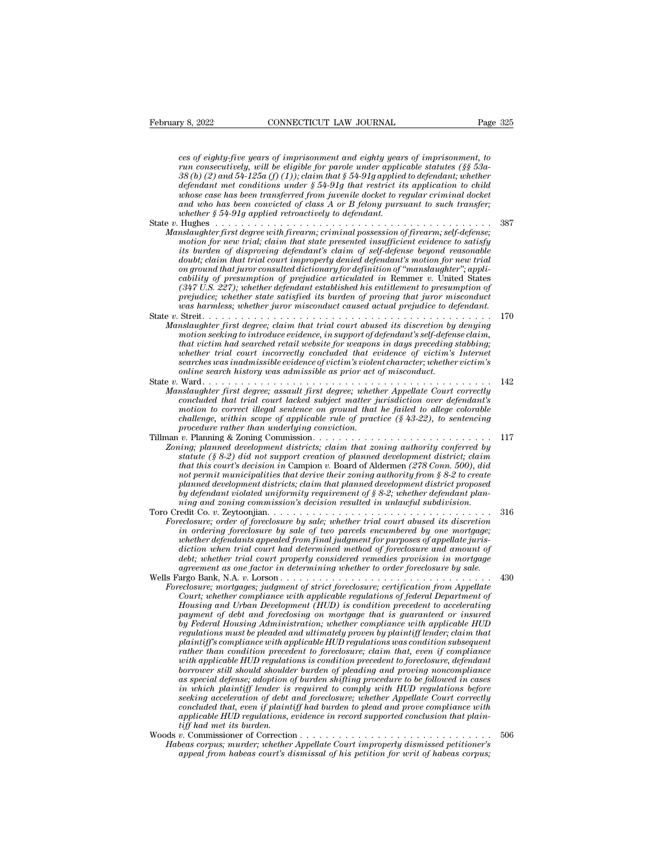*ces of eighty-five years of imprisonment and eighty years of imprisonment, to February 8, 2022* CONNECTICUT LAW JOURNAL Page 325<br>
ces of eighty-five years of imprisonment and eighty years of imprisonment, to<br>
run consecutively, will be eligible for parole under applicable statutes (§§ 53a-<br>
38 (b) *38 (b) (2) and 54-125a (f) (1)); claim that § 54-91g applied to defendant; whether defendant met conditions under § 54-91g that weighty years of eighty-five years of imprisonment and eighty years of imprisonment, to*  $run$  consecutively, will be eligible for parole under applicable statutes (§§ 53a-38 (b) *ces of eighty-five years of imprisonment and eighty years of imprisonment, to*<br>*run consecutively, will be eligible for parole under applicable statutes (§§ 53a-*<br> $38(b)$  (2) and 54-125a (f) (1)); claim that § 54-91g appli *and the pears of imprisonment and eighty years of imprisonment, to*<br>*and consecutively, will be eligible for parole under applicable statutes (§§ 53a-*<br>*38 (b) (2) and 54-125a (f) (1)); claim that § 54-91g applied to defe whose case has been transferred from juvenile docket to regular criminal docket* and who has been convicted of class A or B felony pursuant to such transfer; whether § 54-91g applied retroactively to defendant.<br>State v. ces of eughly-five years of imprisonment and eighly years of imprisonment, to<br>
run consecutively, will be eligible for parole under applicable statutes (§§ 53a-<br>
38 (b) (2) and 54-125a (f) (1)); claim that § 54-91g applied *Manslaughter first degree with firearm; criminal is*  $54-91g$  applied to defendant; whether defendant met conditions under  $\S 54-91g$  applied retrict its application to child whose case has been transferred from juvenile *motion for new trial; claim that state presented insufficient evidence to satisfy*<br>motion for new trial; claim that state presented insufficient evidence to satisfy<br>its burden of disproving defendant's claim of self-defen *its algendant met conditions under § 54-91g indi restrict us application to child and who has been transferred from juvenile docket and who has been convicted of class A or B felony pursuant to such transfer;* whether § *dowhoub has been transferred from juvenue docket to regular criminal docket*<br> *and who has been convicted of class A or B felony pursuant to such transfer;*<br> *duhether § 54-91g applied retroactively to defendant*<br> *Hughes* and who has been convicted of class A or B felony pursuant to such transfer;<br> *bughes*<br> *charges*<br> *charges*<br> *on ground that ground that state presented insufficient evidence to satisfy<br>
motion for new trial; claim that s cability of presumption of prejudice articulated in seriences in the mislangulated first degree with firearm; criminal possession of firearm; self-defense; motion for new trial; claim that state presented insufficient evi* <sup>387</sup><br> *(347 U.S. 227); whether first degree with firearm; criminal possession of firearm; self-defense;<br>
motion for new trial; claim that state presented insufficient evidence to satisfy<br>
its burden of disproving defendan prestaughter first degree with firearm; criminal possession of firearm; self-defense;*<br>motion for new trial; claim that state presented insufficient evidence to satisfy<br>its burden of disproving defendant's claim of self-d *was harmless; whether indigeneur misconduct caused actual property its burden of disproving defendant's claim of self-defense beyond reasonable doubt; claim that trial court impropertly derived defendant's motion for new* Its ournen of ansproving agendants carm of seq-agense oegona reasonance<br>doubt; claim that trial court improperly denied defendant's motion for new trial<br>on ground that juror consulted dictionary for definition of "manslaug *Manslaughter Manslaughter first degree; claim that trial court abused dictionary for definition of 'manslaughter"*; applicability of presumption of prejudice articulated in Remmer v. United States (347 U.S. 227); whethe *motion seeking of presumption of The prejudice articulated in Remmer v. United States* (347 U.S. 227); whether defendant established his entitlement to presumption of prejudice; whether state satisfied its burden of provi *caoutity of presumption of prejuatee articulated in Kemmer v. United States*  $(\beta 47 \, \text{U.S.} \, 227)$ ; whether defendant established his entitlement to presumption of prejudice; whether state satisfied its burden of provin  $(347 \text{ U.S. } 227)$ ; whether adgential established his entitlement to presumption of proving that incorrelations by engineers are trial court in the sum of that the strial court of victimization of the strial court in Stre *searches was inadmissible evidence of victim's violent character; whether victim's online search symmetry was admission to a Street Amelian Stephen in the symmetry first degree; claim that trial court abused its discretion by motion seeking to introduce evidence, in support of defendant's self-defendant* State *<sup>v</sup>*. Ward. . . . . . . . . . . . . . . . . . . . . . . . . . . . . . . . . . . . . . . . . . . . . <sup>142</sup> *Manslaughter first degree; canm that trial court abused its aiscretion by denying<br>motion seeking to introduce evidence, in support of defendant's self-defense claim,<br>that victim had searched retail website for weapons in concluded that secret denience evacually concluded that victim had searched retail website for weapons in days preceding stabbing;*<br>*whether trial court incorrectly concluded that evidence of victim's Internet*<br>*searches mat victim haa searchea retail website for weapons in aays preceding stabonng;*<br>
whether trial court incorrectly concluded that evidence of victim's internet<br>
searches was inadmissible evidence of victim's victor charact *challenge is a challenge in the contribution of a challenge of victim score of victim score of victim scope of applicable contribution of missible existency whether victim's opinion to anti-virtual scope of applicable rul procedure rather than underlying conviction.* Tillman *<sup>v</sup>*. Planning & Zoning Commission. . . . . . . . . . . . . . . . . . . . . . . . . . . . <sup>117</sup> *Zoning; in the interimal first degree; assault first degree; whether Appellate Court corrective concluded that trial court lacked subject matter jurisdiction over defendant's motion to correct illegal sentence on ground t statughter first aegree; assault first aegree; whether pirrisdiction over defendant's*<br> *concluded that trial court lacked subject matter jurisdiction over dependant's*<br> *motion to correct illegal sentence on ground that tonciuded that trial court idcked subject matter jurisdiction tover defendant secondine to correct illegal sentence on ground that he failed to allege colorable challenge, within scope of applicable rule of practice (§ 43 motion to correct uegal sentence on ground that he jaued to duege colorable procedure rather than underlying conviction f practice (§ 43-22), to sentencing procedure rather than underlying conviction*  $v$ *. Planning & Zoni planned development districts; claim that planned development district proposed by defendant violated uniformity requirement of § 8-2; whether defendant plan-Zoning; planned development districts; claim that zoning authority conferred by*<br>statute (§ 8-2) did not support creation of planned development district; claim<br>that this court's decision in Campion v. Board of Aldermen Examing; paramea accessionment attention of planned accession and and correlation that this court's decision in Campion v. Board of Aldermen (278 Conn. 500), did not permit municipalities that derive their zoning authority *Foreclosure* (*S*  $S$ -*Z*) and not support creation of planned aevelopment aistrict; claim<br>that this court's decision in Campion v. Board of Alderman (278 Com. 500), did<br>not permit municipalities that derive their zoning *inat ints courts aectston in Campion v. Board of Aldermen (278 Conn. 500), ata*<br> *not permit municipalities that derive their zoning authority from § 8-2 to create*<br> *planned development districts; claim that planned deve whether municipalities, claim that planned development districts planned development districts planed development districts planed development district proposed by defendant violated uniformity requirement of § 8-2; wheth* planned aevelopment asstricts; claim that planned aevelopment asstrict proposed<br>thy defendant violated uniformity requirement of § 8-2; whether defendant plan-<br>ning and zoning commission's decision resulted in unlawful sub *definition whether trial court properly requirement of s o-z; whether defendant panning and zoning commission's decision resulted in unlawful subdivision.*<br>  $\cdot$  ecoles to  $\cdot$  *z Beytonjian*............................ *agreement as one factor in determining whether to order foreclosure; order of foreclosure by sale; whether trial court abused its discretion in ordering foreclosure by sale of two parcels encumbered by one mortgage; wheth* Foreclosure; order of foreclosure by sale; whether trial court abused its discretion<br>in ordering foreclosure by sale of two parcels encumbered by one mortgage;<br>whether defendants appealed from final judgment for purposes o *Foreclosure; order of Joreclosure by sale; whether trial court abused its atscretion*<br> *in ordering foreclosure by sale of two parels encumbered by one mortgage;<br>
whether defendants appealed from final judgment for purpos Court; whether defendants appeals from final judgment for purposes of appealation when trial court had determined method of foreclosure and amount of debt; whether trial court properly considered remedies provision in mor Housing and then trial court had determined method of foreclosure and amount of detic, when trial court properly considered remedias provision in mortgage agreement as one factor in determining whether to order foreclosur* action when trial court had actermined method of foreclosure and amount of<br>debt; whether trial court properly considered remedies provision in mortgage<br>agreement as one factor in determining whether to order foreclosure; m *by Federal Housing Administration; whether compliance with applicable HUD regularians and partor in attermining whether to order joreclosure by sale.*<br> *regiosure; mortgages, judgment of strict foreclosure; certification from Appellate*<br> *Court; whether compliance with applicable regulations of plaintiff's compliance with applicable HUD regulations was condition subsequent reclosure; mortgages; judgment of strict foreclosure; certification from Appellate Court; whether compliance with applicable regulations of federal Department of Hensing and Urban Development (HUD) is condition precedent Wourt, whether compliance with applicable regulations of federal Department of Housing and Urban Development (HUD) is condition precedent to accelerating*  $pay$  *rederal Housing Administration, whether compliance with app bousing and Urban Development (HUD) is condition precedent to accelerating*<br>payment of debt and foreclosing on mortgage that is guaranteed or insured<br>by Federal Housing Administration; whether compliance with applicable H payment of debt and foreclosing on mortgage that is guaranteed or insured<br>by Federal Housing Administration; whether compliance with applicable HUD<br>regulations must be pleaded and ultimately proven by plaintiff lender; cla *by Federal Housing Administration; whether compliance with applicable HUD*<br>regulations must be pleaded and ultimately proven by plaintiff lender; claim that<br>plaintiff's compliance with applicable HUD regulations was condi *regulations must be pleaded and ultimately proven by plaintiff compliantiff's compliance with applicable HUD regulations was condition subsequent to foreclosure; claim that, even if compliance with applicable HUD regulati* plaintiff's compliance with applicable HUD regulations was condition subsequent<br>rather than condition precedent to foreclosure; claim that, even if compliance<br>with applicable HUD regulations is condition precedent to forec rather than condition precedent to foreclosure; claim that, even if compliance<br>with applicable HUD regulations is condition precedent to foreclosure, defendant<br>borrower still should shoulder burden of pleading and proving *to the applicable HUD regulative formower still should shoulde*<br>*as special defense; adoption a which plaintiff lender is*<br>*seeking acceleration of debt concluded that, even if plaint*<br>*applicable HUD regulations, eiff ha* Figure 31 and anoual should should be a produced and proving noncomputance<br>as special defense; adoption of burden shifting procedure to be followed in cases<br>in which plaintiff lender is required to comply with HUD regulati *dis spectia defense; daoption of ourder sinfiting procedure to be journed in cases*<br>in which plaintiff leader is required to comply with HID regulations before<br>seeking acceleration of debt and foreclosure; whether Appella *a a approximation and the approximation of debt and foreclosure; whether Appellate Court correctly concluded that, even if plaintiff had burden to plead and prove compliance with applicable HUD regulations, evidence*